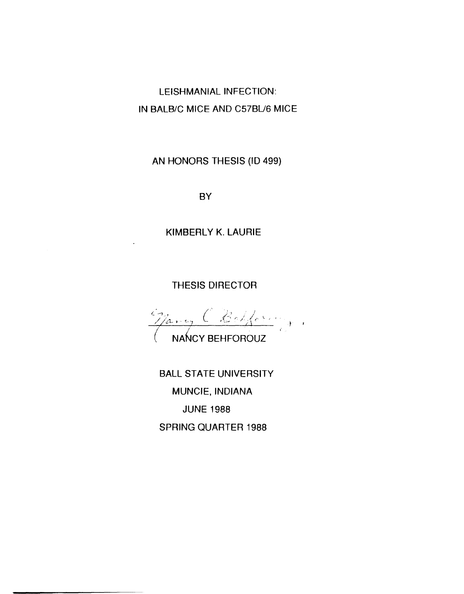LEISHMANIAL INFECTION: IN BALB/C MICE AND C57BL/6 MICE

AN HONORS THESIS (ID 499)

**BY** 

**KIMBERLY K. LAURIE** 

**THESIS DIRECTOR** 

 $\frac{C_{\beta_1,\ldots,\beta}}{(\text{NANCY BEHFOROUZ})^*},$ 

**BALL STATE UNIVERSITY** MUNCIE, INDIANA **JUNE 1988 SPRING QUARTER 1988**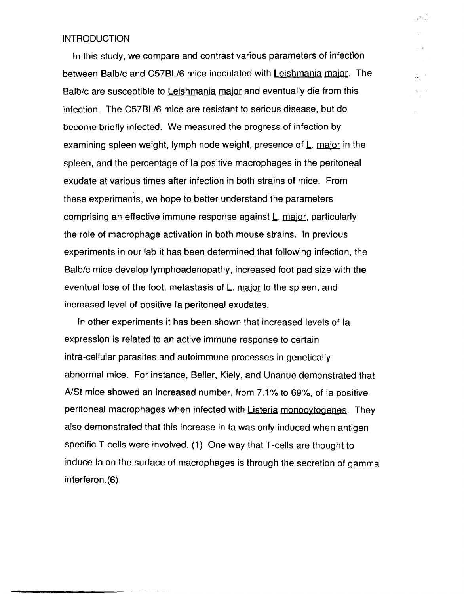## **INTRODUCTION**

In this study, we compare and contrast various parameters of infection between Balb/c and C57BU6 mice inoculated with Leishmania major. The Balb/c are susceptible to Leishmania major and eventually die from this infection. The C57BU6 mice are resistant to serious disease, but do become briefly infected. We measured the progress of infection by examining spleen weight, lymph node weight, presence of  $L$ . major in the spleen, and the percentage of la positive macrophages in the peritoneal exudate at various times after infection in both strains of mice. From these experiments, we hope to better understand the parameters comprising an effective immune response against L. major, particularly the role of macrophage activation in both mouse strains. In previous experiments in our lab it has been determined that following infection, the Balb/c mice develop Iymphoadenopathy, increased foot pad size with the eventual lose of the foot, metastasis of L. major to the spleen, and increased level of positive la peritoneal exudates.

, ال<br>بالية <sup>الت</sup>اريخ

오기

In other experiments it has been shown that increased levels of la expression is related to an active immune response to certain intra-cellular parasites and autoimmune processes in genetically abnormal mice. For instance, Beller, Kiely, and Unanue demonstrated that A/St mice showed an increased number, from 7.1% to 69%, of la positive peritoneal macrophages when infected with Listeria monocytogenes. They also demonstrated that this increase in la was only induced when antigen specific T-cells were involved. (1) One way that T-cells are thought to induce la on the surface of macrophages is through the secretion of gamma interferon.(6)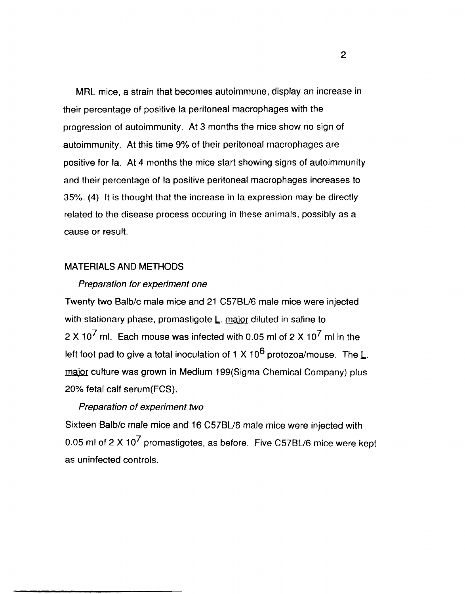MRL mice, a strain that becomes autoimmune, display an increase in their percentage of positive la peritoneal macrophages with the progression of autoimmunity. At 3 months the mice show no sign of autoimmunity. At this time 9% of their peritoneal macrophages are positive for la. At 4 months the mice start showing signs of autoimmunity and their percentage of la positive peritoneal macrophages increases to 35%. (4) It is thought that the increase in la expression may be directly related to the disease process occuring in these animals, possibly as a cause or result.

## MATERIALS AND METHODS

#### Preparation for experiment one

Twenty two 8alb/c male mice and 21 C578U6 male mice were injected with stationary phase, promastigote  $L$ . major diluted in saline to 2 X 10<sup>7</sup> ml. Each mouse was infected with 0.05 ml of 2 X 10<sup>7</sup> ml in the left foot pad to give a total inoculation of 1 X 10<sup>6</sup> protozoa/mouse. The L. major culture was grown in Medium 199(Sigma Chemical Company) plus 20% fetal calf serum(FCS).

## Preparation of experiment two

Sixteen 8alb/c male mice and 16 C57BU6 male mice were injected with 0.05 ml of 2 X  $10^7$  promastigotes, as before. Five C57BL/6 mice were kept as uninfected controls.

2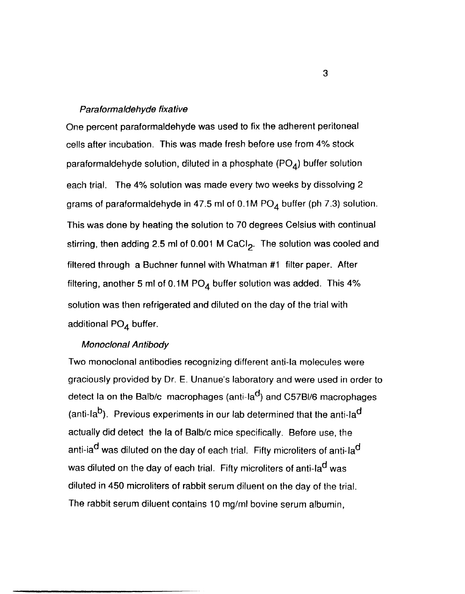#### Paraformaldehyde fixative

One percent paraformaldehyde was used to fix the adherent peritoneal cells after incubation. This was made fresh before use from 4% stock paraformaldehyde solution, diluted in a phosphate  $(PO<sub>A</sub>)$  buffer solution each trial. The 4% solution was made every two weeks by dissolving 2 grams of paraformaldehyde in 47.5 ml of  $0.1M$  PO<sub>4</sub> buffer (ph 7.3) solution. This was done by heating the solution to 70 degrees Celsius with continual stirring, then adding 2.5 ml of 0.001 M CaCl<sub>2</sub>. The solution was cooled and filtered through a Buchner funnel with Whatman #1 filter paper. After filtering, another 5 ml of 0.1M  $PO<sub>4</sub>$  buffer solution was added. This 4% solution was then refrigerated and diluted on the day of the trial with additional PO<sub>4</sub> buffer.

## Monoclonal Antibody

Two monoclonal antibodies recognizing different anti-Ia molecules were graciously provided by Dr. E. Unanue's laboratory and were used in order to detect la on the Balb/c macrophages (anti-la<sup>d</sup>) and C57BI/6 macrophages (anti-la<sup>b</sup>). Previous experiments in our lab determined that the anti-la<sup>d</sup> actually did detect the la of Balb/c mice specifically. Before use, the anti-ia<sup>d</sup> was diluted on the day of each trial. Fifty microliters of anti-la<sup>d</sup> was diluted on the day of each trial. Fifty microliters of anti-la<sup>d</sup> was diluted in 450 microliters of rabbit serum diluent on the day of the trial. The rabbit serum diluent contains 10 mg/ml bovine serum albumin,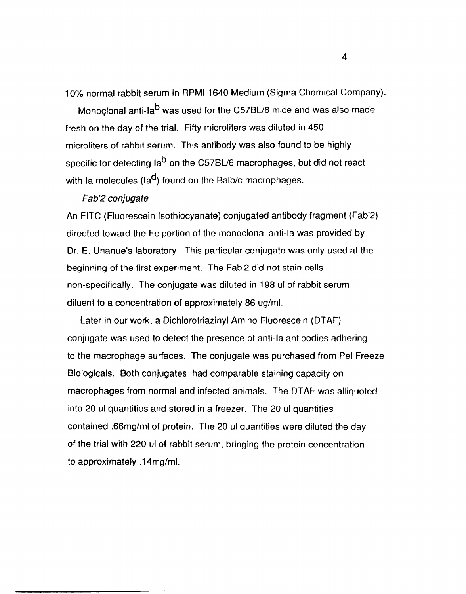10% normal rabbit serum in RPMI 1640 Medium (Sigma Chemical Company).

Monoclonal anti-la<sup>b</sup> was used for the C57BL/6 mice and was also made fresh on the day of the trial. Fifty microliters was diluted in 450 microliters of rabbit serum. This antibody was also found to be highly specific for detecting la<sup>b</sup> on the C57BL/6 macrophages, but did not react with Ia molecules ( $\text{Ia}^d$ ) found on the Balb/c macrophages.

#### Fab'2 conjugate

An FITC (Fluorescein Isothiocyanate) conjugated antibody fragment (Fab'2) directed toward the Fc portion of the monoclonal anti-Ia was provided by Or. E. Unanue's laboratory. This particular conjugate was only used at the beginning of the first experiment. The Fab'2 did not stain cells non-specifically. The conjugate was diluted in 198 ul of rabbit serum diluent to a concentration of approximately 86 ug/ml.

Later in our work, a Oichlorotriazinyl Amino Fluorescein (OTAF) conjugate was used to detect the presence of anti-Ia antibodies adhering to the macrophage surfaces. The conjugate was purchased from Pel Freeze Biologicals. Both conjugates had comparable staining capacity on macrophages from normal and infected animals. The DTAF was alliquoted into 20 ul quantities and stored in a freezer. The 20 ul quantities contained .66mg/ml of protein. The 20 ul quantities were diluted the day of the trial with 220 ul of rabbit serum, bringing the protein concentration to approximately .14mg/ml.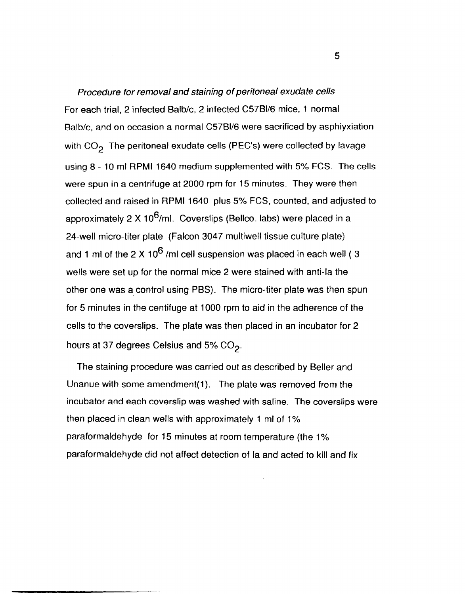Procedure for removal and staining of peritoneal exudate cells For each trial, 2 infected Balb/c, 2 infected C57BI/6 mice, 1 normal Balb/c, and on occasion a normal C57BI/6 were sacrificed by asphiyxiation with  $CO<sub>2</sub>$  The peritoneal exudate cells (PEC's) were collected by lavage using 8 - 10 ml RPMI 1640 medium supplemented with 5% FCS. The cells were spun in a centrifuge at 2000 rpm for 15 minutes. They were then collected and raised in RPMI 1640 plus 5% FCS, counted, and adjusted to approximately 2 X  $10^6$ /ml. Coverslips (Bellco. labs) were placed in a 24-well micro-titer plate (Falcon 3047 multiwell tissue culture plate) and 1 ml of the 2 X 10<sup>6</sup> /ml cell suspension was placed in each well (3) wells were set up for the normal mice 2 were stained with anti-Ia the other one was a control using PBS). The micro-titer plate was then spun for 5 minutes in the centifuge at 1000 rpm to aid in the adherence of the cells to the coverslips. The plate was then placed in an incubator for 2 hours at 37 degrees Celsius and 5%  $CO<sub>2</sub>$ .

The staining procedure was carried out as described by Beller and Unanue with some amendment(1). The plate was removed from the incubator and each coverslip was washed with saline. The coverslips were then placed in clean wells with approximately 1 ml of 1% paraformaldehyde for 15 minutes at room temperature (the 1% paraformaldehyde did not affect detection of la and acted to kill and fix

5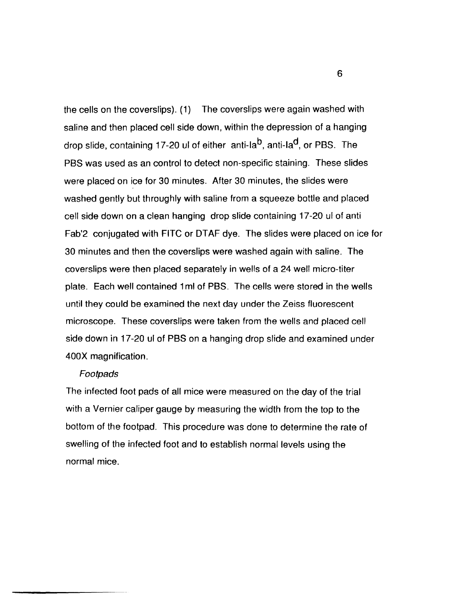the cells on the coversiips).  $(1)$  The coversiips were again washed with saline and then placed cell side down, within the depression of a hanging drop slide, containing 17-20 ul of either anti-la<sup>b</sup>, anti-la<sup>d</sup>, or PBS. The PBS was used as an control to detect non-specific staining. These slides were placed on ice for 30 minutes. After 30 minutes, the slides were washed gently but throughly with saline from a squeeze bottle and placed cell side down on a clean hanging drop slide containing 17-20 ul of anti Fab'2 conjugated with FITC or DTAF dye. The slides were placed on ice for 30 minutes and then the coverslips were washed again with saline. The coverslips were then placed separately in wells of a 24 well micro-titer plate. Each well contained 1 ml of PBS. The cells were stored in the wells until they could be examined the next day under the Zeiss fluorescent microscope. These coverslips were taken from the wells and placed cell side down in 17-20 ul of PBS on a hanging drop slide and examined under 400X magnification.

## Footpads

The infected foot pads of all mice were measured on the day of the trial with a Vernier caliper gauge by measuring the width from the top to the bottom of the footpad. This procedure was done to determine the rate of swelling of the infected foot and to establish normal levels using the normal mice.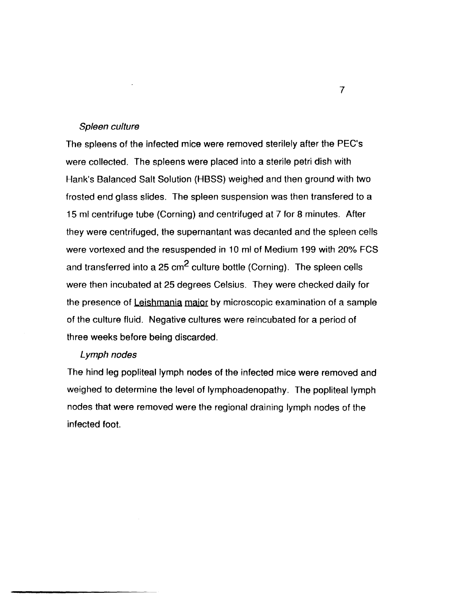#### Spleen culture

The spleens of the infected mice were removed sterilely after the PEC's were collected. The spleens were placed into a sterile petri dish with Hank's Balanced Salt Solution (HBSS) weighed and then ground with two frosted end glass slides. The spleen suspension was then transfered to a 15 ml centrifuge tube (Corning) and centrifuged at 7 for 8 minutes. After they were centrifuged, the supernantant was decanted and the spleen cells were vortexed and the resuspended in 10 ml of Medium 199 with 20% FCS and transferred into a 25  $\text{cm}^2$  culture bottle (Corning). The spleen cells were then incubated at 25 degrees Celsius. They were checked daily for the presence of Leishmania major by microscopic examination of a sample of the culture fluid. Negative cultures were reincubated for a period of three weeks before being discarded.

## Lymph nodes

The hind leg popliteal lymph nodes of the infected mice were removed and weighed to determine the level of Iymphoadenopathy. The popliteal lymph nodes that were removed were the regional draining lymph nodes of the infected foot.

7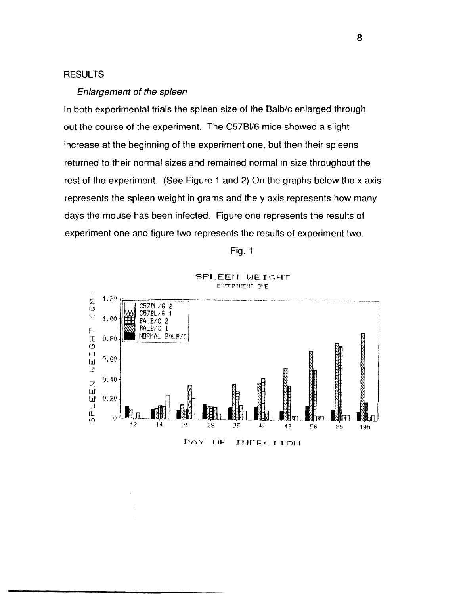## **RESULTS**

#### Enlargement of the spleen

In both experimental trials the spleen size of the Balb/c enlarged through out the course of the experiment. The C57BI/6 mice showed a slight increase at the beginning of the experiment one, but then their spleens returned to their normal sizes and remained normal in size throughout the rest of the experiment. (See Figure 1 and 2) On the graphs below the x axis represents the spleen weight in grams and the y axis represents how many days the mouse has been infected. Figure one represents the results of experiment one and figure two represents the results of experiment two.





SPLEEN WEIGHT EYFER IIIEIIT ONE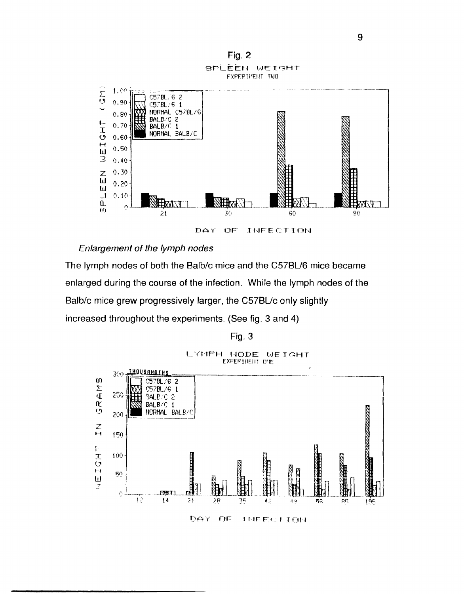

#### Enlargement of the lymph nodes

The lymph nodes of both the Balb/c mice and the C57BL/6 mice became enlarged during the course of the infection. While the lymph nodes of the Balb/c mice grew progressively larger, the C57BL/c only slightly increased throughout the experiments. (See fig. 3 and 4)

Fig. 3



9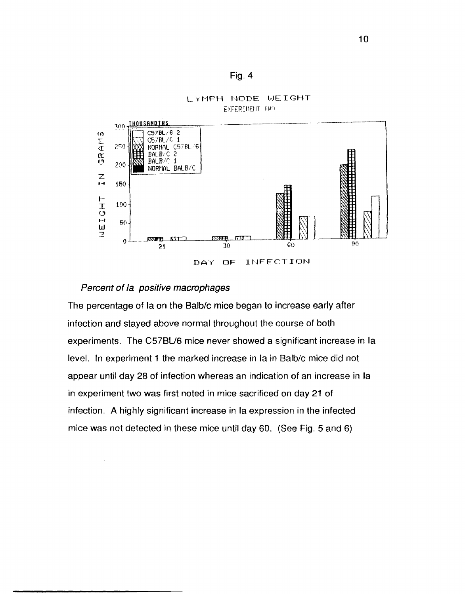



## LYMPH NODE WEIGHT **EXFERIMENT THO**

## Percent of la positive macrophages

The percentage of Ia on the Balb/c mice began to increase early after infection and stayed above normal throughout the course of both experiments. The C57BL/6 mice never showed a significant increase in la level. In experiment 1 the marked increase in Ia in Balb/c mice did not appear until day 28 of infection whereas an indication of an increase in la in experiment two was first noted in mice sacrificed on day 21 of infection. A highly significant increase in la expression in the infected mice was not detected in these mice until day 60. (See Fig. 5 and 6)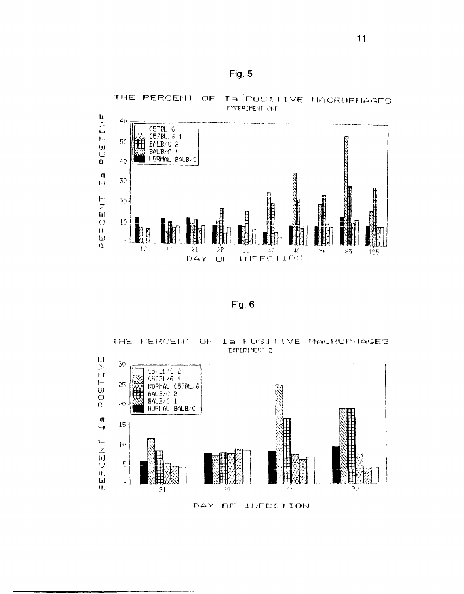



Fig. 6

THE FERCENT OF Ia POSITIVE MACROPHAGES EXPERIMENT 2



INFECTION DAY OF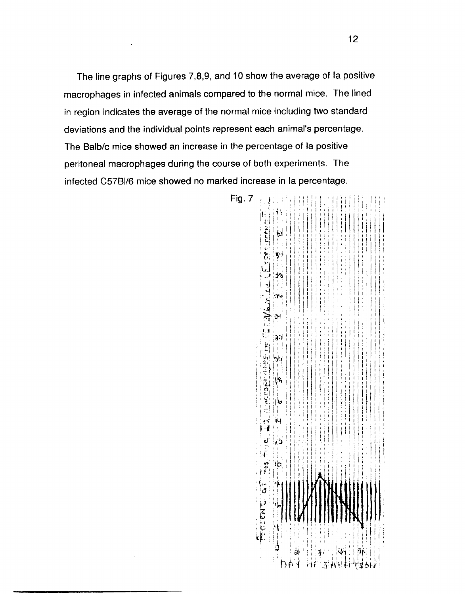The line graphs of Figures 7,8,9, and 10 show the average of la positive macrophages in infected animals compared to the normal mice. The lined in region indicates the average of the normal mice including two standard deviations and the individual points represent each animal's percentage. The Balb/c mice showed an increase in the percentage of la positive peritoneal macrophages during the course of both experiments. The infected C57BI/6 mice showed no marked increase in la percentage.

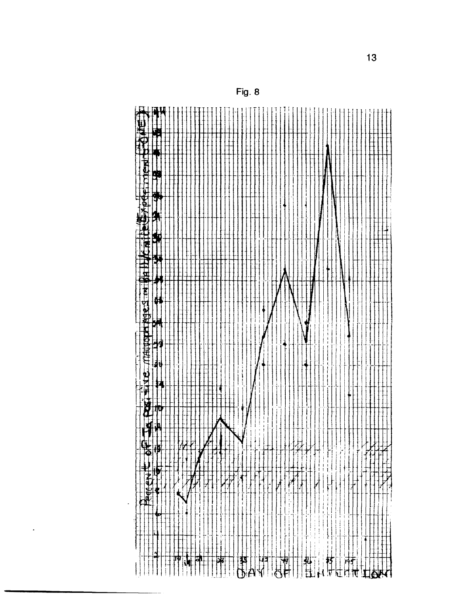

Fig. 8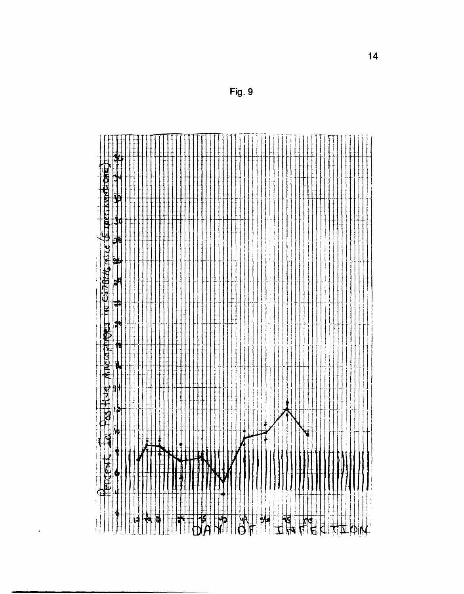|               | Ħ<br>AFFERM | Le Host tud Macrozinges in Estatt mice (Exercisant one) |   |                     |               |               |                         |        |         |   |  |
|---------------|-------------|---------------------------------------------------------|---|---------------------|---------------|---------------|-------------------------|--------|---------|---|--|
|               |             |                                                         |   |                     |               |               |                         |        |         |   |  |
|               |             | 倅                                                       | þ | N<br>$\frac{1}{11}$ | $\frac{1}{2}$ | $\frac{1}{2}$ | a⊌<br><br>$\frac{1}{2}$ | Ħ<br>訷 | ₫.<br>H | 中 |  |
|               |             |                                                         |   |                     |               |               |                         |        |         |   |  |
|               |             |                                                         |   |                     |               |               |                         |        |         |   |  |
|               |             |                                                         |   |                     |               |               |                         |        |         |   |  |
|               |             |                                                         |   |                     |               |               |                         |        |         |   |  |
|               |             |                                                         |   |                     |               |               |                         |        |         |   |  |
|               |             |                                                         |   |                     |               |               |                         |        |         |   |  |
|               |             |                                                         |   |                     |               |               |                         |        |         |   |  |
|               |             |                                                         |   |                     |               |               |                         |        |         |   |  |
|               |             |                                                         |   |                     |               |               |                         |        |         |   |  |
|               |             |                                                         |   |                     |               |               |                         |        |         |   |  |
|               |             |                                                         |   |                     |               |               |                         |        |         |   |  |
|               |             |                                                         |   |                     |               |               |                         |        |         |   |  |
|               |             |                                                         |   |                     |               |               |                         |        |         |   |  |
|               |             |                                                         |   |                     |               |               |                         |        |         |   |  |
|               |             |                                                         |   |                     |               |               |                         |        |         |   |  |
|               |             |                                                         |   |                     |               |               |                         |        |         |   |  |
|               |             |                                                         |   |                     |               |               |                         |        |         |   |  |
|               |             |                                                         |   |                     |               |               |                         |        |         |   |  |
|               |             |                                                         |   |                     |               |               |                         |        |         |   |  |
|               |             |                                                         |   |                     |               |               |                         |        |         |   |  |
|               |             |                                                         |   |                     |               |               |                         |        |         |   |  |
|               |             |                                                         |   |                     |               |               |                         |        |         |   |  |
|               |             |                                                         |   |                     |               |               |                         |        |         |   |  |
|               |             |                                                         |   |                     |               |               |                         |        |         |   |  |
|               |             |                                                         |   |                     |               |               |                         |        |         |   |  |
|               |             |                                                         |   |                     |               |               |                         |        |         |   |  |
|               |             |                                                         |   |                     |               |               |                         |        |         |   |  |
|               |             |                                                         |   |                     |               |               |                         |        |         |   |  |
|               |             |                                                         |   |                     |               |               |                         |        |         |   |  |
|               |             |                                                         |   |                     |               |               |                         |        |         |   |  |
|               |             |                                                         |   |                     |               |               |                         |        |         |   |  |
|               |             |                                                         |   |                     |               |               |                         |        |         |   |  |
|               |             |                                                         |   |                     |               |               |                         |        |         |   |  |
|               |             |                                                         |   |                     |               |               |                         |        |         |   |  |
|               |             |                                                         |   |                     |               |               |                         |        |         |   |  |
|               |             |                                                         |   |                     |               |               |                         |        |         |   |  |
|               |             |                                                         |   |                     |               |               |                         |        |         |   |  |
|               |             |                                                         |   |                     |               |               |                         |        |         |   |  |
|               |             | ۰                                                       |   |                     |               |               |                         |        |         |   |  |
|               |             |                                                         |   |                     |               |               |                         |        |         |   |  |
|               |             |                                                         |   |                     |               |               |                         |        |         |   |  |
|               |             |                                                         |   |                     |               |               |                         |        |         |   |  |
|               |             |                                                         |   |                     |               |               |                         |        |         |   |  |
|               |             |                                                         |   |                     |               |               |                         |        |         |   |  |
|               |             |                                                         |   |                     |               |               |                         |        |         |   |  |
|               |             |                                                         |   |                     |               |               |                         |        |         |   |  |
|               |             |                                                         |   |                     |               |               |                         |        |         |   |  |
|               |             |                                                         |   |                     |               |               |                         |        |         |   |  |
|               |             |                                                         |   |                     |               |               |                         |        |         |   |  |
| $\frac{1}{2}$ |             |                                                         |   |                     |               |               |                         |        |         |   |  |
|               |             |                                                         |   |                     |               |               |                         |        |         |   |  |
|               |             |                                                         |   |                     |               |               |                         |        |         |   |  |

 $\hat{\boldsymbol{\cdot} }$ 

Fig. 9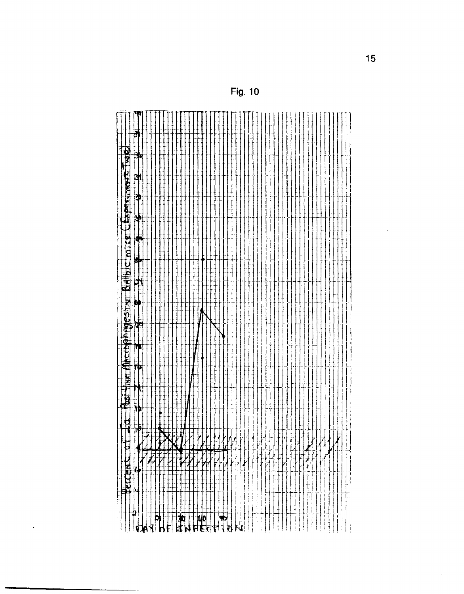| <b>XHII</b><br>ч | Huat                     | <b>Thereformedes in</b>                                                                                                                                                                                                                                                                                                                             |     |    | Ġ             |                      | <b>BIAIIDIC MILLE LEAPERIMONE TWO</b> |               |            | ð |
|------------------|--------------------------|-----------------------------------------------------------------------------------------------------------------------------------------------------------------------------------------------------------------------------------------------------------------------------------------------------------------------------------------------------|-----|----|---------------|----------------------|---------------------------------------|---------------|------------|---|
|                  | <br> }<br>$  \bar{\phi}$ | $\begin{picture}(20,20) \put(0,0){\line(1,0){10}} \put(15,0){\line(1,0){10}} \put(15,0){\line(1,0){10}} \put(15,0){\line(1,0){10}} \put(15,0){\line(1,0){10}} \put(15,0){\line(1,0){10}} \put(15,0){\line(1,0){10}} \put(15,0){\line(1,0){10}} \put(15,0){\line(1,0){10}} \put(15,0){\line(1,0){10}} \put(15,0){\line(1,0){10}} \put(15,0){\line(1$ | ی ا | łф | $\frac{1}{2}$ | $\overline{\bullet}$ | ą                                     | $\frac{1}{2}$ | ]<br> <br> | ╅ |
|                  |                          |                                                                                                                                                                                                                                                                                                                                                     |     |    |               |                      |                                       |               |            |   |
|                  |                          |                                                                                                                                                                                                                                                                                                                                                     |     |    |               |                      |                                       |               |            |   |
|                  |                          |                                                                                                                                                                                                                                                                                                                                                     |     |    |               |                      |                                       |               |            |   |
|                  |                          |                                                                                                                                                                                                                                                                                                                                                     |     |    |               |                      |                                       |               |            |   |
|                  |                          |                                                                                                                                                                                                                                                                                                                                                     |     |    |               |                      |                                       |               |            |   |
|                  |                          |                                                                                                                                                                                                                                                                                                                                                     |     |    |               |                      |                                       |               |            |   |
|                  |                          |                                                                                                                                                                                                                                                                                                                                                     |     |    |               |                      |                                       |               |            |   |
|                  |                          |                                                                                                                                                                                                                                                                                                                                                     |     |    |               |                      |                                       |               |            |   |
|                  |                          |                                                                                                                                                                                                                                                                                                                                                     |     |    |               |                      |                                       |               |            |   |
|                  |                          |                                                                                                                                                                                                                                                                                                                                                     |     |    |               |                      |                                       |               |            |   |
|                  |                          |                                                                                                                                                                                                                                                                                                                                                     | ł   |    |               |                      |                                       |               |            |   |
|                  |                          |                                                                                                                                                                                                                                                                                                                                                     |     |    |               |                      |                                       |               |            |   |
| И                |                          |                                                                                                                                                                                                                                                                                                                                                     |     |    |               |                      |                                       |               |            |   |
|                  |                          |                                                                                                                                                                                                                                                                                                                                                     |     |    |               |                      |                                       |               |            |   |
| Я                |                          |                                                                                                                                                                                                                                                                                                                                                     |     |    |               |                      |                                       |               |            |   |
|                  |                          |                                                                                                                                                                                                                                                                                                                                                     |     |    |               |                      |                                       |               |            |   |
| $\cdot$          |                          |                                                                                                                                                                                                                                                                                                                                                     |     |    |               |                      |                                       |               |            |   |
|                  |                          |                                                                                                                                                                                                                                                                                                                                                     |     |    |               |                      |                                       |               |            |   |
| ţ                |                          |                                                                                                                                                                                                                                                                                                                                                     |     |    |               |                      |                                       |               |            |   |
| 阠                |                          |                                                                                                                                                                                                                                                                                                                                                     |     |    |               |                      |                                       |               |            |   |
|                  |                          |                                                                                                                                                                                                                                                                                                                                                     |     |    |               |                      |                                       |               |            |   |
|                  |                          |                                                                                                                                                                                                                                                                                                                                                     |     |    |               |                      |                                       |               |            |   |
| л                |                          |                                                                                                                                                                                                                                                                                                                                                     |     |    |               |                      |                                       |               |            |   |
|                  |                          |                                                                                                                                                                                                                                                                                                                                                     |     |    |               |                      |                                       |               |            |   |
|                  |                          |                                                                                                                                                                                                                                                                                                                                                     |     |    |               |                      |                                       |               |            |   |
|                  | ł                        |                                                                                                                                                                                                                                                                                                                                                     |     |    |               |                      |                                       |               |            |   |
|                  |                          |                                                                                                                                                                                                                                                                                                                                                     |     |    |               |                      |                                       |               |            |   |
|                  |                          |                                                                                                                                                                                                                                                                                                                                                     |     |    |               |                      |                                       |               |            |   |
|                  |                          |                                                                                                                                                                                                                                                                                                                                                     |     |    |               |                      |                                       |               |            |   |
|                  |                          |                                                                                                                                                                                                                                                                                                                                                     |     |    |               |                      |                                       |               |            |   |
|                  |                          |                                                                                                                                                                                                                                                                                                                                                     |     |    |               |                      |                                       |               |            |   |
|                  |                          |                                                                                                                                                                                                                                                                                                                                                     |     |    |               |                      |                                       |               |            |   |
|                  |                          |                                                                                                                                                                                                                                                                                                                                                     |     |    |               |                      |                                       |               |            |   |
|                  |                          |                                                                                                                                                                                                                                                                                                                                                     |     |    |               |                      |                                       |               |            |   |
|                  |                          |                                                                                                                                                                                                                                                                                                                                                     |     |    |               |                      |                                       |               |            |   |
|                  |                          |                                                                                                                                                                                                                                                                                                                                                     |     |    |               |                      |                                       |               |            |   |
|                  |                          |                                                                                                                                                                                                                                                                                                                                                     |     |    |               |                      |                                       |               |            |   |
| 4                |                          |                                                                                                                                                                                                                                                                                                                                                     |     |    |               |                      |                                       |               |            |   |
|                  |                          |                                                                                                                                                                                                                                                                                                                                                     |     |    |               |                      |                                       |               |            |   |
|                  |                          |                                                                                                                                                                                                                                                                                                                                                     |     |    |               |                      |                                       |               |            |   |
|                  |                          |                                                                                                                                                                                                                                                                                                                                                     |     |    |               |                      |                                       |               |            |   |
|                  |                          |                                                                                                                                                                                                                                                                                                                                                     |     |    |               |                      |                                       |               |            |   |
|                  |                          |                                                                                                                                                                                                                                                                                                                                                     |     |    |               |                      |                                       |               |            |   |
|                  |                          |                                                                                                                                                                                                                                                                                                                                                     |     |    |               |                      |                                       |               |            |   |
|                  |                          |                                                                                                                                                                                                                                                                                                                                                     |     |    |               |                      |                                       |               |            |   |
| Ŧ                |                          |                                                                                                                                                                                                                                                                                                                                                     |     |    |               |                      |                                       |               |            |   |
|                  |                          |                                                                                                                                                                                                                                                                                                                                                     |     |    |               |                      |                                       |               |            |   |
|                  |                          |                                                                                                                                                                                                                                                                                                                                                     |     |    |               |                      |                                       |               |            |   |
|                  |                          |                                                                                                                                                                                                                                                                                                                                                     |     |    |               |                      |                                       |               |            |   |
|                  |                          |                                                                                                                                                                                                                                                                                                                                                     |     |    |               |                      |                                       |               |            |   |
|                  |                          |                                                                                                                                                                                                                                                                                                                                                     |     |    |               |                      | ţ                                     |               |            |   |
|                  |                          |                                                                                                                                                                                                                                                                                                                                                     |     |    |               |                      |                                       |               |            |   |
|                  |                          |                                                                                                                                                                                                                                                                                                                                                     |     |    |               |                      |                                       |               |            |   |
|                  |                          |                                                                                                                                                                                                                                                                                                                                                     |     |    |               |                      |                                       |               |            |   |
|                  |                          |                                                                                                                                                                                                                                                                                                                                                     |     |    |               |                      |                                       |               |            |   |
|                  |                          |                                                                                                                                                                                                                                                                                                                                                     |     |    |               |                      |                                       |               |            |   |
|                  |                          |                                                                                                                                                                                                                                                                                                                                                     |     |    |               |                      |                                       |               |            |   |

 $\ddot{\phantom{1}}$ 

**Fig. 10** 

 $\downarrow$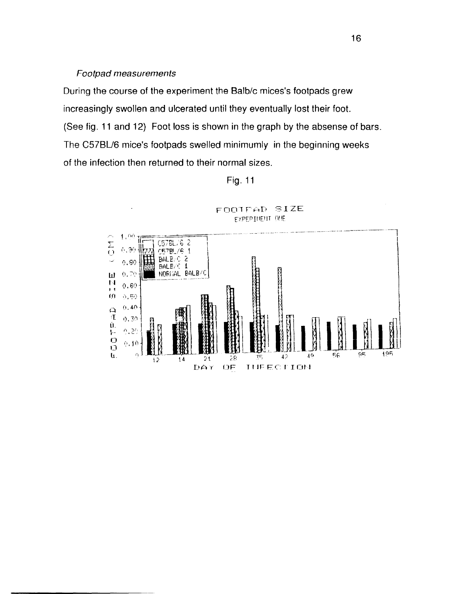## Footpad measurements

During the course of the experiment the Balb/c mices's footpads grew increasingly swollen and ulcerated until they eventually lost their foot. (See fig. 11 and 12) Foot loss is shown in the graph by the absense of bars. The C57BL/6 mice's footpads swelled minimumly in the beginning weeks of the infection then returned to their normal sizes.



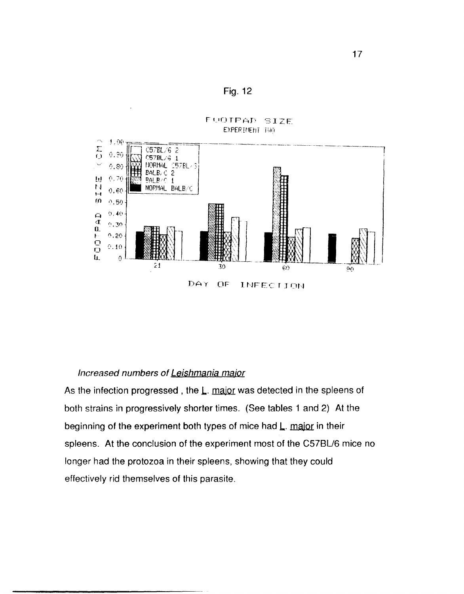



#### Increased numbers of Leishmania major

As the infection progressed, the L. major was detected in the spleens of both strains in progressively shorter times. (See tables 1 and 2) At the beginning of the experiment both types of mice had L. major in their spleens. At the conclusion of the experiment most of the C57BL/6 mice no longer had the protozoa in their spleens, showing that they could effectively rid themselves of this parasite.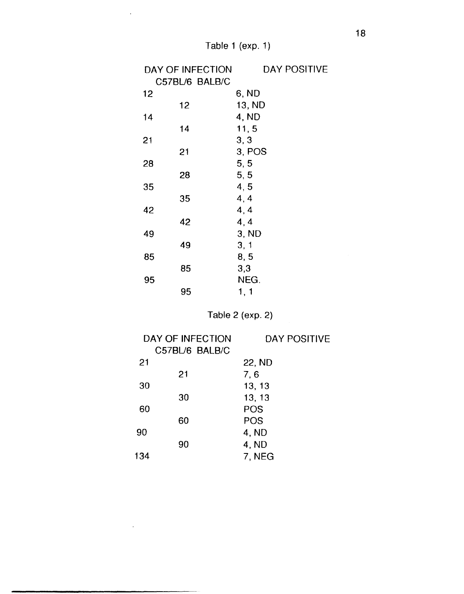$\sim$ 

 $\sim 10^{11}$  km s  $^{-1}$ 

| DAY OF INFECTION | DAY POSITIVE |
|------------------|--------------|
| C57BL/6 BALB/C   |              |
| 12               | 6, ND        |
| 12               | 13, ND       |
| 14               | 4, ND        |
| 14               | 11,5         |
| 21               | 3, 3         |
| 21               | 3, POS       |
| 28               | 5, 5         |
| 28               | 5, 5         |
| 35               | 4, 5         |
| 35               | 4, 4         |
| 42               | 4, 4         |
| 42               | 4, 4         |
| 49               | 3, ND        |
| 49               | 3, 1         |
| 85               | 8, 5         |
| 85               | 3,3          |
| 95               | NEG.         |
| 95               | 1, 1         |

# Table 2 (exp. 2)

|     | DAY OF INFECTION | DAY POSITIVE |
|-----|------------------|--------------|
|     | C57BL/6 BALB/C   |              |
| 21  |                  | 22, ND       |
|     | 21               | 7, 6         |
| 30  |                  | 13, 13       |
|     | 30               | 13, 13       |
| 60  |                  | POS          |
|     | 60               | POS          |
| 90  |                  | 4, ND        |
|     | 90               | 4, ND        |
| 134 |                  | 7. NEG       |
|     |                  |              |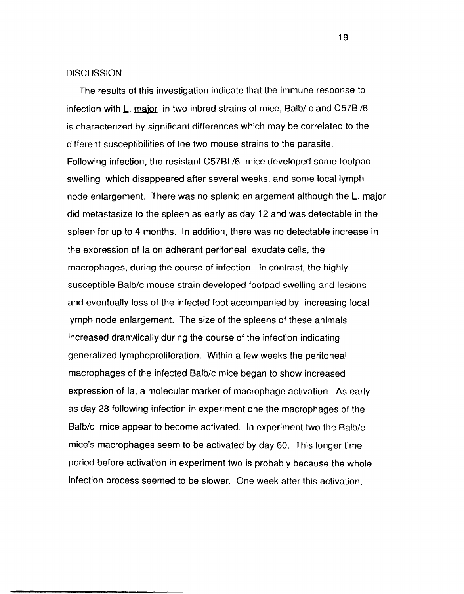#### **DISCUSSION**

The results of this investigation indicate that the immune response to infection with  $\underline{L}$ . major in two inbred strains of mice, Balb/c and C57BI/6 is characterized by significant differences which may be correlated to the different susceptibilities of the two mouse strains to the parasite. Following infection, the resistant C57BU6 mice developed some footpad swelling which disappeared after several weeks, and some local lymph node enlargement. There was no splenic enlargement although the L. major did metastasize to the spleen as early as day 12 and was detectable in the spleen for up to 4 months. In addition, there was no detectable increase in the expression of la on adherant peritoneal exudate cells, the macrophages, during the course of infection. In contrast, the highly susceptible 8alb/c mouse strain developed footpad swelling and lesions and eventually loss of the infected foot accompanied by increasing local lymph node enlargement. The size of the spleens of these animals increased dramwically during the course of the infection indicating generalized Iymphoproliferation. Within a few weeks the peritoneal macrophages of the infected Balb/c mice began to show increased expression of la, a molecular marker of macrophage activation. As early as day 28 following infection in experiment one the macrophages of the Balb/c mice appear to become activated. In experiment two the Balb/c mice's macrophages seem to be activated by day 60. This longer time period before activation in experiment two is probably because the whole infection process seemed to be slower. One week after this activation,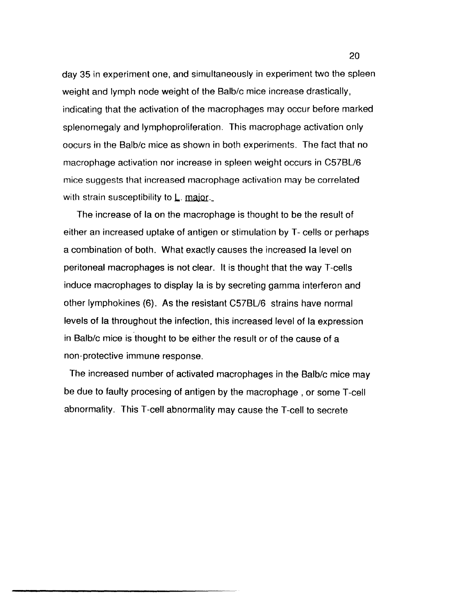day 35 in experiment one, and simultaneously in experiment two the spleen weight and lymph node weight of the Balb/c mice increase drastically, indicating that the activation of the macrophages may occur before marked splenomegaly and Iymphoproliferation. This macrophage activation only oocurs in the Balb/c mice as shown in both experiments. The fact that no macrophage activation nor increase in spleen weight occurs in C57BU6 mice suggests that increased macrophage activation may be correlated with strain susceptibility to  $L$ . major.

The increase of la on the macrophage is thought to be the result of either an increased uptake of antigen or stimulation by T- cells or perhaps a combination of both. What exactly causes the increased la level on peritoneal macrophages is not clear. It is thought that the way T-cells induce macrophages to display la is by secreting gamma interferon and other Iymphokines (6). As the resistant C57BU6 strains have normal levels of la throughout the infection, this increased level of la expression in Balb/c mice is thought to be either the result or of the cause of a non-protective immune response.

The increased number of activated macrophages in the Balb/c mice may be due to faulty procesing of antigen by the macrophage, or some T-cell abnormality. This T-cell abnormality may cause the T-cell to secrete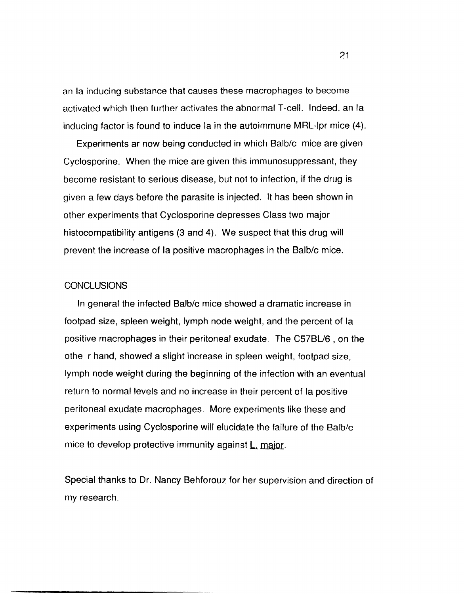an la inducing substance that causes these macrophages to become activated which then further activates the abnormal T-cell. Indeed, an la inducing factor is found to induce la in the autoimmune MRL-Ipr mice (4).

Experiments ar now being conducted in which 8alb/c mice are given Cyclosporine. When the mice are given this immunosuppressant, they become resistant to serious disease, but not to infection, if the drug is given a few days before the parasite is injected. It has been shown in other experiments that Cyclosporine depresses Class two major histocompatibility antigens (3 and 4). We suspect that this drug will prevent the increase of la positive macrophages in the 8alb/c mice.

## **CONCLUSIONS**

In general the infected 8alb/c mice showed a dramatic increase in footpad size, spleen weight, lymph node weight, and the percent of la positive macrophages in their peritoneal exudate. The *C578U6* , on the othe r hand, showed a slight increase in spleen weight, footpad size, lymph node weight during the beginning of the infection with an eventual return to normal levels and no increase in their percent of la positive peritoneal exudate macrophages. More experiments like these and experiments using Cyclosporine will elucidate the failure of the 8alb/c mice to develop protective immunity against L, major.

Special thanks to Dr. Nancy 8ehforouz for her supervision and direction of my research.